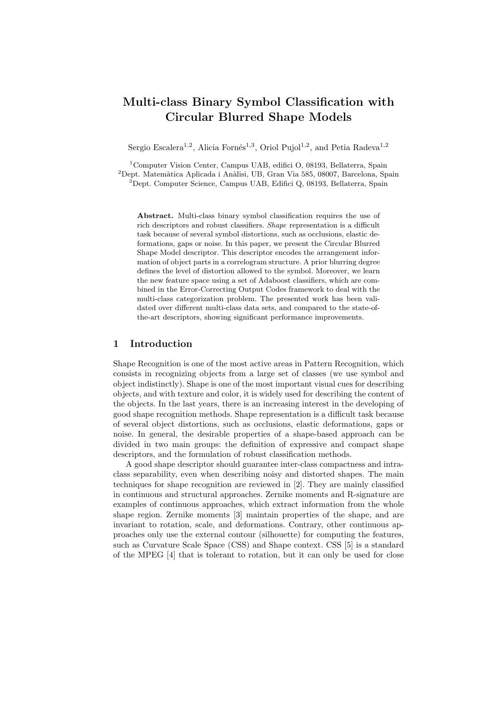# Multi-class Binary Symbol Classification with Circular Blurred Shape Models

Sergio Escalera<sup>1,2</sup>, Alicia Fornés<sup>1,3</sup>, Oriol Pujol<sup>1,2</sup>, and Petia Radeva<sup>1,2</sup>

<sup>1</sup>Computer Vision Center, Campus UAB, edifici O, 08193, Bellaterra, Spain  $^2$ Dept. Matemàtica Aplicada i Anàlisi, UB, Gran Via 585, 08007, Barcelona, Spain

<sup>3</sup>Dept. Computer Science, Campus UAB, Edifici Q, 08193, Bellaterra, Spain

Abstract. Multi-class binary symbol classification requires the use of rich descriptors and robust classifiers. Shape representation is a difficult task because of several symbol distortions, such as occlusions, elastic deformations, gaps or noise. In this paper, we present the Circular Blurred Shape Model descriptor. This descriptor encodes the arrangement information of object parts in a correlogram structure. A prior blurring degree defines the level of distortion allowed to the symbol. Moreover, we learn the new feature space using a set of Adaboost classifiers, which are combined in the Error-Correcting Output Codes framework to deal with the multi-class categorization problem. The presented work has been validated over different multi-class data sets, and compared to the state-ofthe-art descriptors, showing significant performance improvements.

## 1 Introduction

Shape Recognition is one of the most active areas in Pattern Recognition, which consists in recognizing objects from a large set of classes (we use symbol and object indistinctly). Shape is one of the most important visual cues for describing objects, and with texture and color, it is widely used for describing the content of the objects. In the last years, there is an increasing interest in the developing of good shape recognition methods. Shape representation is a difficult task because of several object distortions, such as occlusions, elastic deformations, gaps or noise. In general, the desirable properties of a shape-based approach can be divided in two main groups: the definition of expressive and compact shape descriptors, and the formulation of robust classification methods.

A good shape descriptor should guarantee inter-class compactness and intraclass separability, even when describing noisy and distorted shapes. The main techniques for shape recognition are reviewed in [2]. They are mainly classified in continuous and structural approaches. Zernike moments and R-signature are examples of continuous approaches, which extract information from the whole shape region. Zernike moments [3] maintain properties of the shape, and are invariant to rotation, scale, and deformations. Contrary, other continuous approaches only use the external contour (silhouette) for computing the features, such as Curvature Scale Space (CSS) and Shape context. CSS [5] is a standard of the MPEG [4] that is tolerant to rotation, but it can only be used for close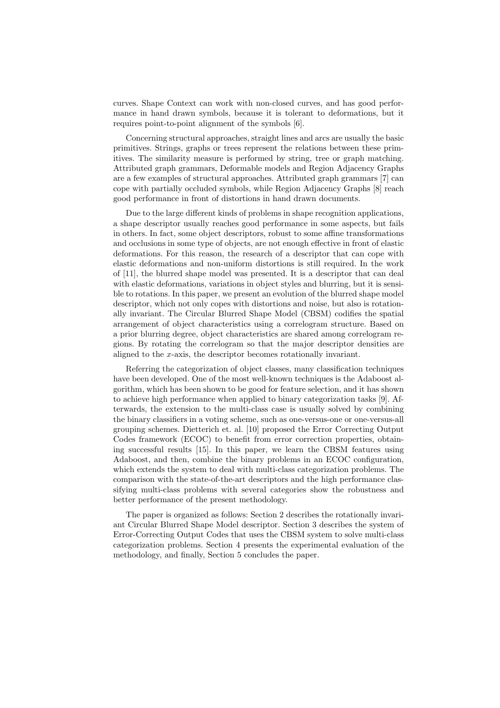curves. Shape Context can work with non-closed curves, and has good performance in hand drawn symbols, because it is tolerant to deformations, but it requires point-to-point alignment of the symbols [6].

Concerning structural approaches, straight lines and arcs are usually the basic primitives. Strings, graphs or trees represent the relations between these primitives. The similarity measure is performed by string, tree or graph matching. Attributed graph grammars, Deformable models and Region Adjacency Graphs are a few examples of structural approaches. Attributed graph grammars [7] can cope with partially occluded symbols, while Region Adjacency Graphs [8] reach good performance in front of distortions in hand drawn documents.

Due to the large different kinds of problems in shape recognition applications, a shape descriptor usually reaches good performance in some aspects, but fails in others. In fact, some object descriptors, robust to some affine transformations and occlusions in some type of objects, are not enough effective in front of elastic deformations. For this reason, the research of a descriptor that can cope with elastic deformations and non-uniform distortions is still required. In the work of [11], the blurred shape model was presented. It is a descriptor that can deal with elastic deformations, variations in object styles and blurring, but it is sensible to rotations. In this paper, we present an evolution of the blurred shape model descriptor, which not only copes with distortions and noise, but also is rotationally invariant. The Circular Blurred Shape Model (CBSM) codifies the spatial arrangement of object characteristics using a correlogram structure. Based on a prior blurring degree, object characteristics are shared among correlogram regions. By rotating the correlogram so that the major descriptor densities are aligned to the x-axis, the descriptor becomes rotationally invariant.

Referring the categorization of object classes, many classification techniques have been developed. One of the most well-known techniques is the Adaboost algorithm, which has been shown to be good for feature selection, and it has shown to achieve high performance when applied to binary categorization tasks [9]. Afterwards, the extension to the multi-class case is usually solved by combining the binary classifiers in a voting scheme, such as one-versus-one or one-versus-all grouping schemes. Dietterich et. al. [10] proposed the Error Correcting Output Codes framework (ECOC) to benefit from error correction properties, obtaining successful results [15]. In this paper, we learn the CBSM features using Adaboost, and then, combine the binary problems in an ECOC configuration, which extends the system to deal with multi-class categorization problems. The comparison with the state-of-the-art descriptors and the high performance classifying multi-class problems with several categories show the robustness and better performance of the present methodology.

The paper is organized as follows: Section 2 describes the rotationally invariant Circular Blurred Shape Model descriptor. Section 3 describes the system of Error-Correcting Output Codes that uses the CBSM system to solve multi-class categorization problems. Section 4 presents the experimental evaluation of the methodology, and finally, Section 5 concludes the paper.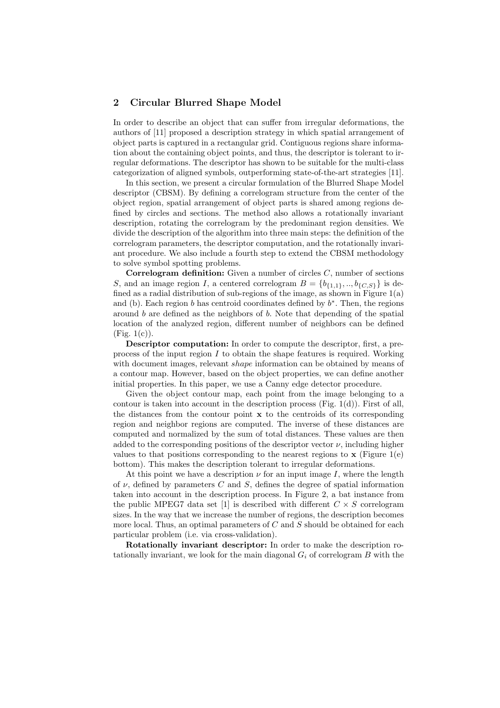#### 2 Circular Blurred Shape Model

In order to describe an object that can suffer from irregular deformations, the authors of [11] proposed a description strategy in which spatial arrangement of object parts is captured in a rectangular grid. Contiguous regions share information about the containing object points, and thus, the descriptor is tolerant to irregular deformations. The descriptor has shown to be suitable for the multi-class categorization of aligned symbols, outperforming state-of-the-art strategies [11].

In this section, we present a circular formulation of the Blurred Shape Model descriptor (CBSM). By defining a correlogram structure from the center of the object region, spatial arrangement of object parts is shared among regions defined by circles and sections. The method also allows a rotationally invariant description, rotating the correlogram by the predominant region densities. We divide the description of the algorithm into three main steps: the definition of the correlogram parameters, the descriptor computation, and the rotationally invariant procedure. We also include a fourth step to extend the CBSM methodology to solve symbol spotting problems.

**Correlogram definition:** Given a number of circles  $C$ , number of sections S, and an image region I, a centered correlogram  $B = \{b_{\{1,1\}},..,b_{\{C,S\}}\}\$ is defined as a radial distribution of sub-regions of the image, as shown in Figure  $1(a)$ and (b). Each region  $b$  has centroid coordinates defined by  $b^*$ . Then, the regions around  $b$  are defined as the neighbors of  $b$ . Note that depending of the spatial location of the analyzed region, different number of neighbors can be defined (Fig. 1(c)).

Descriptor computation: In order to compute the descriptor, first, a preprocess of the input region  $I$  to obtain the shape features is required. Working with document images, relevant *shape* information can be obtained by means of a contour map. However, based on the object properties, we can define another initial properties. In this paper, we use a Canny edge detector procedure.

Given the object contour map, each point from the image belonging to a contour is taken into account in the description process (Fig.  $1(d)$ ). First of all, the distances from the contour point  $x$  to the centroids of its corresponding region and neighbor regions are computed. The inverse of these distances are computed and normalized by the sum of total distances. These values are then added to the corresponding positions of the descriptor vector  $\nu$ , including higher values to that positions corresponding to the nearest regions to  $\bf{x}$  (Figure 1(e) bottom). This makes the description tolerant to irregular deformations.

At this point we have a description  $\nu$  for an input image I, where the length of  $\nu$ , defined by parameters C and S, defines the degree of spatial information taken into account in the description process. In Figure 2, a bat instance from the public MPEG7 data set [1] is described with different  $C \times S$  correlogram sizes. In the way that we increase the number of regions, the description becomes more local. Thus, an optimal parameters of C and S should be obtained for each particular problem (i.e. via cross-validation).

Rotationally invariant descriptor: In order to make the description rotationally invariant, we look for the main diagonal  $G_i$  of correlogram B with the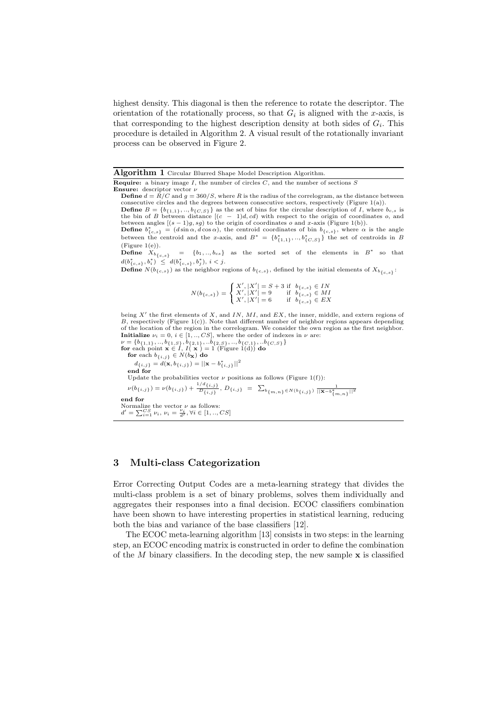highest density. This diagonal is then the reference to rotate the descriptor. The orientation of the rotationally process, so that  $G_i$  is aligned with the x-axis, is that corresponding to the highest description density at both sides of  $G_i$ . This procedure is detailed in Algorithm 2. A visual result of the rotationally invariant process can be observed in Figure 2.

#### Algorithm 1 Circular Blurred Shape Model Description Algorithm.

**Require:** a binary image I, the number of circles  $C$ , and the number of sections  $S$ **Ensure:** descriptor vector  $\nu$ 

**Define**  $d = R/C$  and  $q = 360/S$ , where R is the radius of the correlogram, as the distance between consecutive circles and the degrees between consecutive sectors, respectively (Figure 1(a)).

**Define**  $B = \{b_{\{1,1\}},...,b_{\{C,S\}}\}$  as the set of bins for the circular description of I, where  $b_{c,s}$  is the bin of B between distance  $[(c - 1)d, cd)$  with respect to the origin of coordinates o, and between angles  $[(s-1)g, sg)$  to the origin of coordinates *o* and *x*-axis (Figure 1(b)).<br>**Define**  $b_{\{c,s\}}^* = (d \sin \alpha, d \cos \alpha)$ , the centroid coordinates of bin  $b_{\{c,s\}}$ , where  $\alpha$  is the angle

between the centroid and the x-axis, and  $B^* = \{b_{\{1,1\}}^*,..,b_{\{C,S\}}^*\}$  the set of centroids in B  $(Figure 1(e)).$ 

 $\overline{\text{Define}} \ X_{b_{\{c,s\}}}$  $= \{b_1, ..., b_{cs}\}\$ as the sorted set of the elements in  $B^*$  so that  $d(b_{\{c,s\}}^*,b_i^*) \leq d(b_{\{c,s\}}^*,b_j^*), i < j.$ 

**Define**  $N(b_{\{c,s\}})$  as the neighbor regions of  $b_{\{c,s\}}$ , defined by the initial elements of  $X_{b_{\{c,s\}}}$ :

$$
N(b_{\{c,s\}}) = \begin{cases} X', |X'| = S + 3 \text{ if } b_{\{c,s\}} \in IN \\ X', |X'| = 9 \text{ if } b_{\{c,s\}} \in MI \\ X', |X'| = 6 \text{ if } b_{\{c,s\}} \in EX \end{cases}
$$

being  $X'$  the first elements of X, and IN, MI, and EX, the inner, middle, and extern regions of B, respectively (Figure 1(c)). Note that different number of neighbor regions appears depending of the location of the region in the correlogram. We consider the own region as the first neighbor.

**Initialize**  $\nu_i = 0$ ,  $i \in [1, ..., CS]$ , where the order of indexes in  $\nu$  are:<br>  $\nu = \{b_{\{1,1\}},..., b_{\{1,S\}}, b_{\{2,1\}},..., b_{\{2,S\}},..., b_{\{C,1\}},..., b_{\{C,S\}}\}$ <br>
for each point  $\mathbf{x} \in I$ ,  $I(\mathbf{x}) = 1$  (Figure 1(d)) do<br>
for each  $b_{\{i,j\}} \in N$  $d_{\{i,j\}} = d(\mathbf{x}, b_{\{i,j\}}) = ||\mathbf{x} - b_{\{i,j\}}^*||^2$ end for Update the probabilities vector  $\nu$  positions as follows (Figure 1(f)):  $\nu(b_{\{i,j\}}) = \nu(b_{\{i,j\}}) + \frac{1/d_{\{i,j\}}}{D_{\{i,j\}}}, D_{\{i,j\}} = \sum$  $b_{\{m,n\}} \in N(b_{\{i,j\}})$   $\frac{1}{||\mathbf{x}-b_{\{m,n\}}^*||^2}$ end for Normalize the vector  $\nu$  as follows:<br>  $d' = \sum_{i=1}^{CS} \nu_i, \, \nu_i = \frac{\nu_i}{d'} , \forall i \in [1, ..., CS]$ 

#### 3 Multi-class Categorization

Error Correcting Output Codes are a meta-learning strategy that divides the multi-class problem is a set of binary problems, solves them individually and aggregates their responses into a final decision. ECOC classifiers combination have been shown to have interesting properties in statistical learning, reducing both the bias and variance of the base classifiers [12].

The ECOC meta-learning algorithm [13] consists in two steps: in the learning step, an ECOC encoding matrix is constructed in order to define the combination of the M binary classifiers. In the decoding step, the new sample  $x$  is classified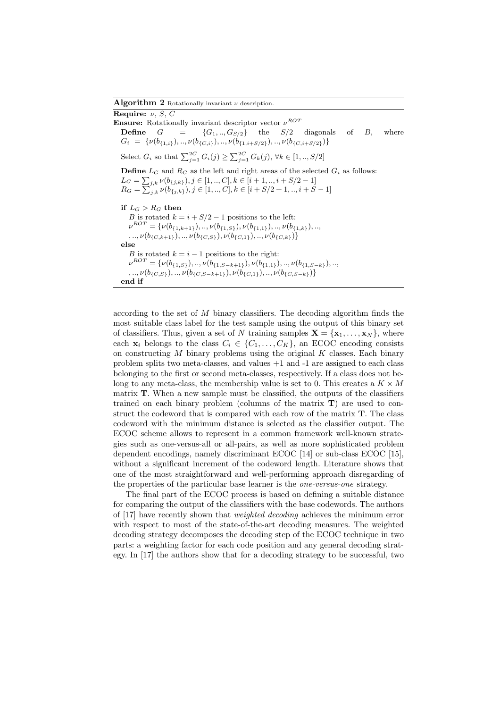# Algorithm 2 Rotationally invariant  $\nu$  description.

Require:  $\nu$ , *S*, *C* **Ensure:** Rotationally invariant descriptor vector  $\nu^{ROT}$ **Define**  $G = \{G_1, ..., G_{S/2}\}$  the  $S/2$  diagonals of  $B$ , where  $G_i = \{ \nu(b_{\{1,i\}}),..,\nu(b_{\{C,i\}}),..,\nu(b_{\{1,i+S/2\}}),..,\nu(b_{\{C,i+S/2\}}) \}$ Select  $G_i$  so that  $\sum_{j=1}^{2C} G_i(j) \geq \sum_{j=1}^{2C} G_k(j)$ ,  $\forall k \in [1, ..., S/2]$ **Define**  $L_G$  and  $R_G$  as the left and right areas of the selected  $G_i$  as follows: **Define**  $L_G$  and  $R_G$  as the left and right areas of the selected  $L_G = \sum_{j,k} \nu(b_{\{j,k\}}), j \in [1, ..., C], k \in [i + 1, ..., i + S/2 - 1]$  $L_G = \sum_{j,k} \nu(0_{\{j,k\}}, j \in [1, ..., C], \kappa \in [i+1, ..., i+ S/2-1],$ <br>  $R_G = \sum_{j,k} \nu(b_{\{j,k\}}), j \in [1, ..., C], k \in [i + S/2+1, ..., i + S-1],$ if  $L_G > R_G$  then B is rotated  $k = i + S/2 - 1$  positions to the left:  $\nu^{ROT} = {\nu(b_{\{1,k+1\}}),..,\nu(b_{\{1,S\}}),\nu(b_{\{1,1\}}),..,\nu(b_{\{1,k\}}),..,}$  $, ..., \nu(b_{\{C, k+1\}}), ..., \nu(b_{\{C,S\}}), \nu(b_{\{C,1\}}), ..., \nu(b_{\{C,k\}})\}$ else B is rotated  $k = i - 1$  positions to the right:  $\nu^{ROT} = {\nu(b_{\{1,S\}}),..,\nu(b_{\{1,S-k+1\}}),\nu(b_{\{1,1\}}),..,\nu(b_{\{1,S-k\}}),..,}$  $, ..., \nu(b_{\{C,S\}}), ..., \nu(b_{\{C,S-k+1\}}), \nu(b_{\{C,1\}}), ..., \nu(b_{\{C,S-k\}})$ end if

according to the set of M binary classifiers. The decoding algorithm finds the most suitable class label for the test sample using the output of this binary set of classifiers. Thus, given a set of N training samples  $\mathbf{X} = {\mathbf{x}_1, \dots, \mathbf{x}_N}$ , where each  $\mathbf{x}_i$  belongs to the class  $C_i \in \{C_1, \ldots, C_K\}$ , an ECOC encoding consists on constructing  $M$  binary problems using the original  $K$  classes. Each binary problem splits two meta-classes, and values +1 and -1 are assigned to each class belonging to the first or second meta-classes, respectively. If a class does not belong to any meta-class, the membership value is set to 0. This creates a  $K \times M$ matrix T. When a new sample must be classified, the outputs of the classifiers trained on each binary problem (columns of the matrix  $\mathbf{T}$ ) are used to construct the codeword that is compared with each row of the matrix T. The class codeword with the minimum distance is selected as the classifier output. The ECOC scheme allows to represent in a common framework well-known strategies such as one-versus-all or all-pairs, as well as more sophisticated problem dependent encodings, namely discriminant ECOC [14] or sub-class ECOC [15], without a significant increment of the codeword length. Literature shows that one of the most straightforward and well-performing approach disregarding of the properties of the particular base learner is the one-versus-one strategy.

The final part of the ECOC process is based on defining a suitable distance for comparing the output of the classifiers with the base codewords. The authors of [17] have recently shown that weighted decoding achieves the minimum error with respect to most of the state-of-the-art decoding measures. The weighted decoding strategy decomposes the decoding step of the ECOC technique in two parts: a weighting factor for each code position and any general decoding strategy. In [17] the authors show that for a decoding strategy to be successful, two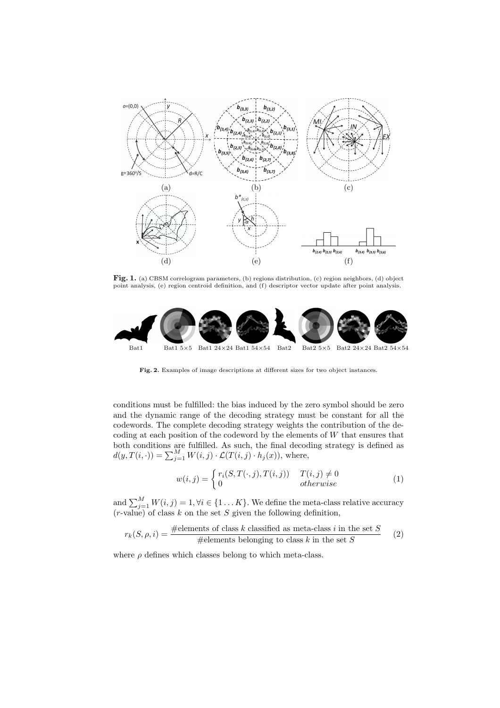

**Fig. 1.** (a) CBSM correlogram parameters, (b) regions distribution, (c) region neighbors, (d) object point analysis, (e) region centroid definition, and (f) descriptor vector update after point analysis.



Fig. 2. Examples of image descriptions at different sizes for two object instances.

conditions must be fulfilled: the bias induced by the zero symbol should be zero and the dynamic range of the decoding strategy must be constant for all the codewords. The complete decoding strategy weights the contribution of the decoding at each position of the codeword by the elements of  $W$  that ensures that both conditions are fulfilled. As such, the final decoding strategy is defined as  $d(y,T(i, \cdot)) = \sum_{j=1}^{M} W(i,j) \cdot \mathcal{L}(T(i,j) \cdot h_j(x))$ , where,

$$
w(i,j) = \begin{cases} r_i(S, T(\cdot, j), T(i, j)) & T(i, j) \neq 0\\ 0 & otherwise \end{cases}
$$
(1)

and  $\sum_{j=1}^{M} W(i, j) = 1, \forall i \in \{1 \dots K\}$ . We define the meta-class relative accuracy  $(r\text{-value})$  of class k on the set S given the following definition,

$$
r_k(S, \rho, i) = \frac{\text{\#elements of class } k \text{ classified as meta-class } i \text{ in the set } S}{\text{\#elements belonging to class } k \text{ in the set } S}
$$
 (2)

where  $\rho$  defines which classes belong to which meta-class.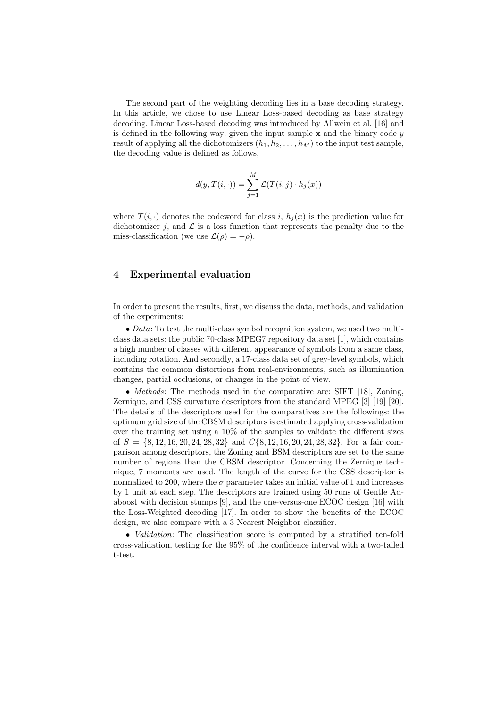The second part of the weighting decoding lies in a base decoding strategy. In this article, we chose to use Linear Loss-based decoding as base strategy decoding. Linear Loss-based decoding was introduced by Allwein et al. [16] and is defined in the following way: given the input sample  $x$  and the binary code  $y$ result of applying all the dichotomizers  $(h_1, h_2, \ldots, h_M)$  to the input test sample, the decoding value is defined as follows,

$$
d(y, T(i, \cdot)) = \sum_{j=1}^{M} \mathcal{L}(T(i, j) \cdot h_j(x))
$$

where  $T(i, \cdot)$  denotes the codeword for class i,  $h_i(x)$  is the prediction value for dichotomizer j, and  $\mathcal L$  is a loss function that represents the penalty due to the miss-classification (we use  $\mathcal{L}(\rho) = -\rho$ ).

# 4 Experimental evaluation

In order to present the results, first, we discuss the data, methods, and validation of the experiments:

 $\bullet$  *Data*: To test the multi-class symbol recognition system, we used two multiclass data sets: the public 70-class MPEG7 repository data set [1], which contains a high number of classes with different appearance of symbols from a same class, including rotation. And secondly, a 17-class data set of grey-level symbols, which contains the common distortions from real-environments, such as illumination changes, partial occlusions, or changes in the point of view.

• *Methods*: The methods used in the comparative are: SIFT [18], Zoning, Zernique, and CSS curvature descriptors from the standard MPEG [3] [19] [20]. The details of the descriptors used for the comparatives are the followings: the optimum grid size of the CBSM descriptors is estimated applying cross-validation over the training set using a  $10\%$  of the samples to validate the different sizes of  $S = \{8, 12, 16, 20, 24, 28, 32\}$  and  $C\{8, 12, 16, 20, 24, 28, 32\}$ . For a fair comparison among descriptors, the Zoning and BSM descriptors are set to the same number of regions than the CBSM descriptor. Concerning the Zernique technique, 7 moments are used. The length of the curve for the CSS descriptor is normalized to 200, where the  $\sigma$  parameter takes an initial value of 1 and increases by 1 unit at each step. The descriptors are trained using 50 runs of Gentle Adaboost with decision stumps [9], and the one-versus-one ECOC design [16] with the Loss-Weighted decoding [17]. In order to show the benefits of the ECOC design, we also compare with a 3-Nearest Neighbor classifier.

• *Validation*: The classification score is computed by a stratified ten-fold cross-validation, testing for the 95% of the confidence interval with a two-tailed t-test.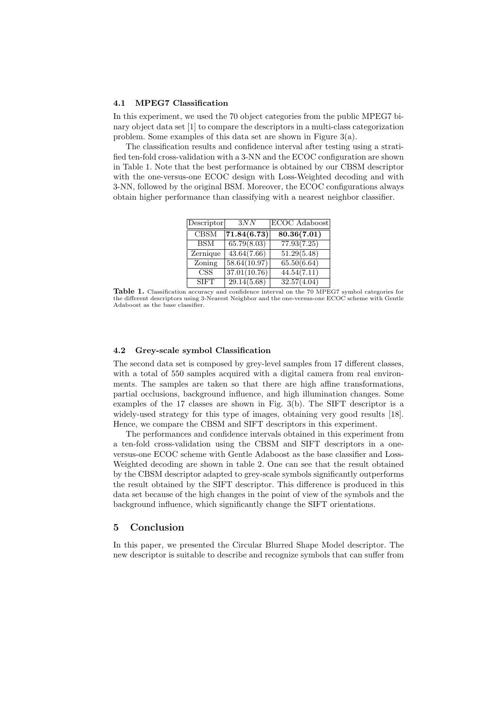#### 4.1 MPEG7 Classification

In this experiment, we used the 70 object categories from the public MPEG7 binary object data set [1] to compare the descriptors in a multi-class categorization problem. Some examples of this data set are shown in Figure 3(a).

The classification results and confidence interval after testing using a stratified ten-fold cross-validation with a 3-NN and the ECOC configuration are shown in Table 1. Note that the best performance is obtained by our CBSM descriptor with the one-versus-one ECOC design with Loss-Weighted decoding and with 3-NN, followed by the original BSM. Moreover, the ECOC configurations always obtain higher performance than classifying with a nearest neighbor classifier.

| Descriptor  | 3NN                                         | ECOC Adaboost            |
|-------------|---------------------------------------------|--------------------------|
| CBSM        | $\vert 71.84 \vert \overline{(6.73)} \vert$ | $\overline{80.36}(7.01)$ |
| <b>BSM</b>  | 65.79(8.03)                                 | 77.93(7.25)              |
| Zernique    | 43.64(7.66)                                 | 51.29(5.48)              |
| Zoning      | $\overline{58.64(10.97)}$                   | 65.50(6.64)              |
| <b>CSS</b>  | 37.01(10.76)                                | 44.54(7.11)              |
| <b>SIFT</b> | 29.14(5.68)                                 | 32.57(4.04)              |

Table 1. Classification accuracy and confidence interval on the 70 MPEG7 symbol categories for the different descriptors using 3-Nearest Neighbor and the one-versus-one ECOC scheme with Gentle Adaboost as the base classifier.

#### 4.2 Grey-scale symbol Classification

The second data set is composed by grey-level samples from 17 different classes, with a total of 550 samples acquired with a digital camera from real environments. The samples are taken so that there are high affine transformations, partial occlusions, background influence, and high illumination changes. Some examples of the 17 classes are shown in Fig. 3(b). The SIFT descriptor is a widely-used strategy for this type of images, obtaining very good results [18]. Hence, we compare the CBSM and SIFT descriptors in this experiment.

The performances and confidence intervals obtained in this experiment from a ten-fold cross-validation using the CBSM and SIFT descriptors in a oneversus-one ECOC scheme with Gentle Adaboost as the base classifier and Loss-Weighted decoding are shown in table 2. One can see that the result obtained by the CBSM descriptor adapted to grey-scale symbols significantly outperforms the result obtained by the SIFT descriptor. This difference is produced in this data set because of the high changes in the point of view of the symbols and the background influence, which significantly change the SIFT orientations.

#### 5 Conclusion

In this paper, we presented the Circular Blurred Shape Model descriptor. The new descriptor is suitable to describe and recognize symbols that can suffer from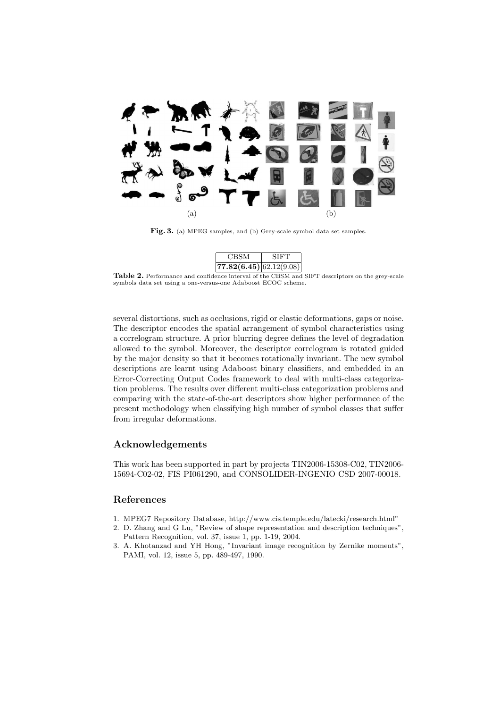

Fig. 3. (a) MPEG samples, and (b) Grey-scale symbol data set samples.

| 7.82(6.45)[62.12(9.08)] |  |
|-------------------------|--|

Table 2. Performance and confidence interval of the CBSM and SIFT descriptors on the grey-scale symbols data set using a one-versus-one Adaboost ECOC scheme.

several distortions, such as occlusions, rigid or elastic deformations, gaps or noise. The descriptor encodes the spatial arrangement of symbol characteristics using a correlogram structure. A prior blurring degree defines the level of degradation allowed to the symbol. Moreover, the descriptor correlogram is rotated guided by the major density so that it becomes rotationally invariant. The new symbol descriptions are learnt using Adaboost binary classifiers, and embedded in an Error-Correcting Output Codes framework to deal with multi-class categorization problems. The results over different multi-class categorization problems and comparing with the state-of-the-art descriptors show higher performance of the present methodology when classifying high number of symbol classes that suffer from irregular deformations.

## Acknowledgements

This work has been supported in part by projects TIN2006-15308-C02, TIN2006- 15694-C02-02, FIS PI061290, and CONSOLIDER-INGENIO CSD 2007-00018.

# References

- 1. MPEG7 Repository Database, http://www.cis.temple.edu/latecki/research.html"
- 2. D. Zhang and G Lu, "Review of shape representation and description techniques", Pattern Recognition, vol. 37, issue 1, pp. 1-19, 2004.
- 3. A. Khotanzad and YH Hong, "Invariant image recognition by Zernike moments", PAMI, vol. 12, issue 5, pp. 489-497, 1990.